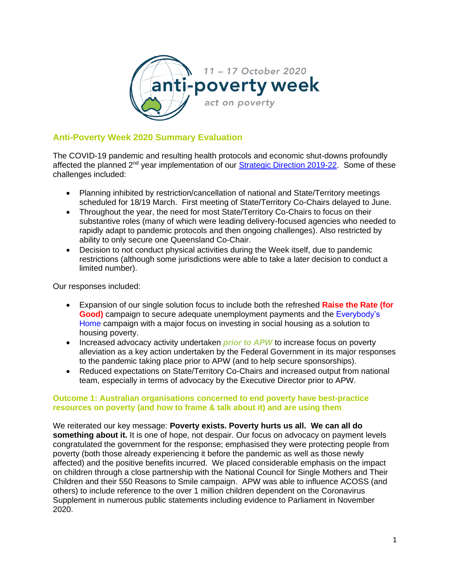

## **Anti-Poverty Week 2020 Summary Evaluation**

The COVID-19 pandemic and resulting health protocols and economic shut-downs profoundly affected the planned 2<sup>nd</sup> year implementation of our **Strategic Direction 2019-22**. Some of these challenges included:

- Planning inhibited by restriction/cancellation of national and State/Territory meetings scheduled for 18/19 March. First meeting of State/Territory Co-Chairs delayed to June.
- Throughout the year, the need for most State/Territory Co-Chairs to focus on their substantive roles (many of which were leading delivery-focused agencies who needed to rapidly adapt to pandemic protocols and then ongoing challenges). Also restricted by ability to only secure one Queensland Co-Chair.
- Decision to not conduct physical activities during the Week itself, due to pandemic restrictions (although some jurisdictions were able to take a later decision to conduct a limited number).

Our responses included:

- Expansion of our single solution focus to include both the refreshed **[Raise the Rate](https://raisetherate.org.au/) (for Good)** campaign to secure adequate unemployment payments and the [Everybody's](https://everybodyshome.com.au/)  [Home](https://everybodyshome.com.au/) campaign with a major focus on investing in social housing as a solution to housing poverty.
- Increased advocacy activity undertaken *prior to APW* to increase focus on poverty alleviation as a key action undertaken by the Federal Government in its major responses to the pandemic taking place prior to APW (and to help secure sponsorships).
- Reduced expectations on State/Territory Co-Chairs and increased output from national team, especially in terms of advocacy by the Executive Director prior to APW.

## **Outcome 1: Australian organisations concerned to end poverty have best-practice resources on poverty (and how to frame & talk about it) and are using them**.

We reiterated our key message: **Poverty exists. Poverty hurts us all. We can all do something about it.** It is one of hope, not despair. Our focus on advocacy on payment levels congratulated the government for the response; emphasised they were protecting people from poverty (both those already experiencing it before the pandemic as well as those newly affected) and the positive benefits incurred. We placed considerable emphasis on the impact on children through a close partnership with the National Council for Single Mothers and Their Children and their 550 Reasons to Smile campaign. APW was able to influence ACOSS (and others) to include reference to the over 1 million children dependent on the Coronavirus Supplement in numerous public statements including evidence to Parliament in November 2020.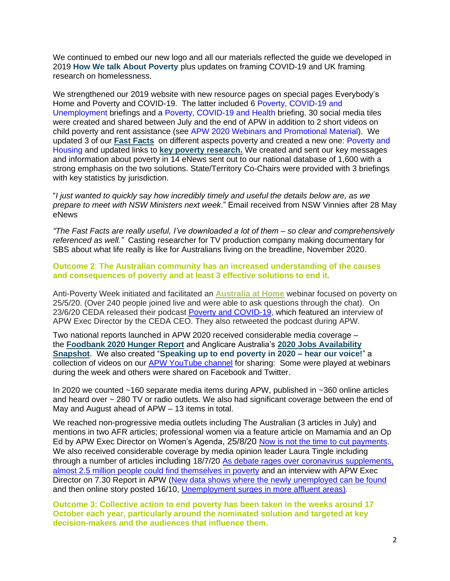We continued to embed our new logo and all our materials reflected the quide we developed in 2019 **How We talk About Poverty** plus updates on framing COVID-19 and UK framing research on homelessness.

We strengthened our 2019 website with new resource pages on special pages Everybody's Home and Poverty and COVID-19. The latter included 6 [Poverty, COVID-19 and](https://antipovertyweek.org.au/wp-content/uploads/2020/09/23SeptfinalAPW-Briefing-Poverty-Unemployment-COVID-19.pdf)  [Unemployment](https://antipovertyweek.org.au/wp-content/uploads/2020/09/23SeptfinalAPW-Briefing-Poverty-Unemployment-COVID-19.pdf) briefings and a [Poverty, COVID-19 and Health](https://antipovertyweek.org.au/wp-content/uploads/2020/04/APW-17420-Poverty-Health-and-COVID-19.pdf) briefing. 30 social media tiles were created and shared between July and the end of APW in addition to 2 short videos on child poverty and rent assistance (see [APW 2020 Webinars and Promotional Material\)](https://antipovertyweek.org.au/wp-content/uploads/2022/04/More-from-APW-2020-on-website.pdf). We updated 3 of our **[Fast Facts](https://antipovertyweek.org.au/resources/fast-facts/)** on different aspects poverty and created a new one: [Poverty and](https://antipovertyweek.org.au/wp-content/uploads/2020/09/APW-Poverty-and-Housing-Fast-Fact-September-2020.pdf)  [Housing](https://antipovertyweek.org.au/wp-content/uploads/2020/09/APW-Poverty-and-Housing-Fast-Fact-September-2020.pdf) and updated links to **[key poverty research.](https://antipovertyweek.org.au/resources/poverty-in-australia/)** We created and sent our key messages and information about poverty in 14 eNews sent out to our national database of 1,600 with a strong emphasis on the two solutions. State/Territory Co-Chairs were provided with 3 briefings with key statistics by jurisdiction.

"*I just wanted to quickly say how incredibly timely and useful the details below are, as we prepare to meet with NSW Ministers next week*." Email received from NSW Vinnies after 28 May eNews

*"The Fast Facts are really useful, I've downloaded a lot of them – so clear and comprehensively referenced as well."* Casting researcher for TV production company making documentary for SBS about what life really is like for Australians living on the breadline, November 2020.

**Outcome 2**: **The Australian community has an increased understanding of the causes and consequences of poverty and at least 3 effective solutions to end it.**

Anti-Poverty Week initiated and facilitated an **[Australia at Home](https://australiaathome.com.au/)** webinar focused on poverty on 25/5/20. (Over 240 people joined live and were able to ask questions through the chat). On 23/6/20 CEDA released their podcast [Poverty and COVID-19,](https://anchor.fm/ceda/episodes/Poverty-and-COVID-19--Toni-Wren--Executive-Director-of-Anti-Poverty-Week-efq2s8) which featured an interview of APW Exec Director by the CEDA CEO. They also retweeted the podcast during APW.

Two national reports launched in APW 2020 received considerable media coverage – the **Foodbank 2020 Hunger Report** and Anglicare Australia's **2020 Jobs Availability Snapshot**. We also created "**Speaking up to end poverty in 2020 – hear our voice!**" a collection of videos on our [APW YouTube channel](https://www.youtube.com/channel/UCE2VcqPNjKIztZJWl4sEh6Q/featured) for sharing: Some were played at webinars during the week and others were shared on Facebook and Twitter.

In 2020 we counted ~160 separate media items during APW, published in ~360 online articles and heard over ~ 280 TV or radio outlets. We also had significant coverage between the end of May and August ahead of APW – 13 items in total.

We reached non-progressive media outlets including The Australian (3 articles in July) and mentions in two AFR articles; professional women via a feature article on Mamamia and an Op Ed by APW Exec Director on Women's Agenda, 25/8/20 [Now is not the time to cut payments.](https://womensagenda.com.au/latest/shaky-employment-recovery-not-the-time-to-cut-payments-especially-for-women-at-the-forefront-of-care-job-losses/) We also received considerable coverage by media opinion leader Laura Tingle including through a number of articles including 18/7/20 As debate rages over coronavirus supplements. [almost 2.5 million people could find themselves](https://www.abc.net.au/news/2020-07-18/australia-coronavirus-supplement-jobkeeper-children-in-poverty/12467672) in poverty and an interview with APW Exec Director on 7.30 Report in APW [\(New data shows where the newly unemployed can be found](https://www.abc.net.au/7.30/new-data-shows-where-the-newly-unemployed-can-be/12767860) and then online story posted 16/10, [Unemployment surges in more affluent areas\)](https://www.abc.net.au/news/2020-10-16/data-analysis-reveals-jump-in-joblessness-in-affluent-areas/12774034).

**Outcome 3: Collective action to end poverty has been taken in the weeks around 17 October each year, particularly around the nominated solution and targeted at key decision-makers and the audiences that influence them.**